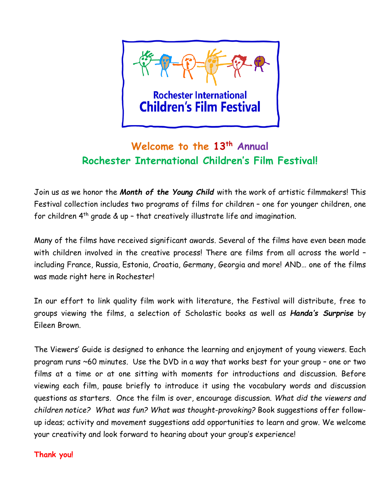

## **Welcome to the 13th Annual Rochester International Children's Film Festival!**

Join us as we honor the *Month of the Young Child* with the work of artistic filmmakers! This Festival collection includes two programs of films for children – one for younger children, one for children 4th grade & up – that creatively illustrate life and imagination.

Many of the films have received significant awards. Several of the films have even been made with children involved in the creative process! There are films from all across the world – including France, Russia, Estonia, Croatia, Germany, Georgia and more! AND… one of the films was made right here in Rochester!

In our effort to link quality film work with literature, the Festival will distribute, free to groups viewing the films, a selection of Scholastic books as well as *Handa's Surprise* by Eileen Brown.

The Viewers' Guide is designed to enhance the learning and enjoyment of young viewers. Each program runs ~60 minutes. Use the DVD in a way that works best for your group – one or two films at a time or at one sitting with moments for introductions and discussion. Before viewing each film, pause briefly to introduce it using the vocabulary words and discussion questions as starters. Once the film is over, encourage discussion. *What did the viewers and children notice? What was fun? What was thought-provoking?* Book suggestions offer followup ideas; activity and movement suggestions add opportunities to learn and grow. We welcome your creativity and look forward to hearing about your group's experience!

### **Thank you!**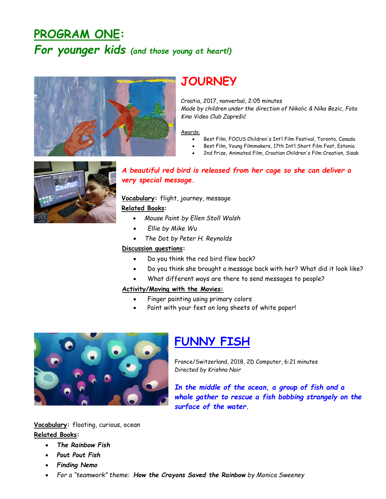# **PROGRAM ONE:**  *For younger kids (and those young at heart!)*



## **JOURNEY**

Croatia, 2017, nonverbal, 2:05 minutes *Made by children under the direction of Nikolic & Nika Bozic, Foto Kino Video Club Zaprešić*

#### Awards:

- Best Film, FOCUS Children's Int'l Film Festival, Toronto, Canada
- Best Film, Young Filmmakers, 17th Int'l Short Film Fest, Estonia
- 2nd Prize, Animated Film, Croatian Children's Film Creation, Sisak



### *A beautiful red bird is released from her cage so she can deliver a very special message.*

**Vocabulary:** flight, journey, message

### **Related Books:**

- *Mouse Paint by Ellen Stoll Walsh*
- *Ellie by Mike Wu*
- *The Dot by Peter H. Reynolds*

#### **Discussion questions:**

- Do you think the red bird flew back?
- Do you think she brought a message back with her? What did it look like?
- What different ways are there to send messages to people?

#### **Activity/Moving with the Movies:**

- Finger painting using primary colors
- Paint with your feet on long sheets of white paper!



## **FUNNY FISH**

France/Switzerland, 2018, 2D Computer, 6:21 minutes *Directed by Krishna Nair*

*In the middle of the ocean, a group of fish and a whale gather to rescue a fish bobbing strangely on the surface of the water.* 

**Vocabulary:** floating, curious, ocean **Related Books:**

- *The Rainbow Fish*
- *Pout Pout Fish*
- *Finding Nemo*
- *For a "teamwork" theme: How the Crayons Saved the Rainbow by Monica Sweeney*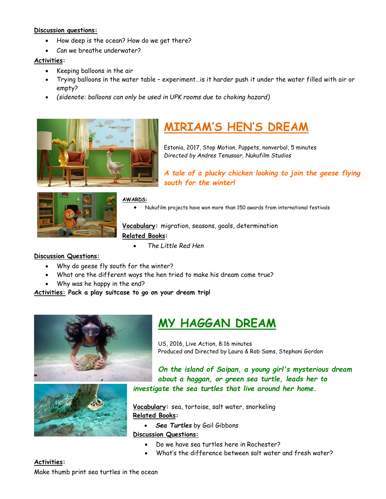#### **Discussion questions:**

- How deep is the ocean? How do we get there?
- Can we breathe underwater?

### **Activities:**

- Keeping balloons in the air
- Trying balloons in the water table experiment…is it harder push it under the water filled with air or empty?
- *(sidenote: balloons can only be used in UPK rooms due to choking hazard)*



# **MIRIAM'S HEN'S DREAM**

Estonia, 2017, Stop Motion, Puppets, nonverbal, 5 minutes *Directed by Andres Tenusaar, Nukufilm Studios*

*A tale of a plucky chicken looking to join the geese flying south for the winter!*



**AWARDS:**

• Nukufilm projects have won more than 150 awards from international festivals

**Vocabulary:** migration, seasons, goals, determination **Related Books:**

• *The Little Red Hen*

#### **Discussion Questions:**

- Why do geese fly south for the winter?
- What are the different ways the hen tried to make his dream come true?
- Why was he happy in the end?

**Activities: Pack a play suitcase to go on your dream trip!**





# **MY HAGGAN DREAM**

US, 2016, Live Action, 8:16 minutes Produced and Directed by Laura & Rob Sams, Stephani Gordon

*On the island of Saipan, a young girl's mysterious dream about a haggan, or green sea turtle, leads her to investigate the sea turtles that live around her home.*

**Vocabulary:** sea, tortoise, salt water, snorkeling **Related Books:** 

• *Sea Turtles* by Gail Gibbons

#### **Discussion Questions:**

- Do we have sea turtles here in Rochester?
- What's the difference between salt water and fresh water?

### **Activities:**

Make thumb print sea turtles in the ocean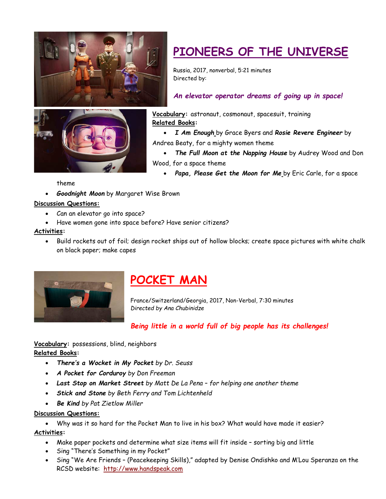



# **PIONEERS OF THE UNIVERSE**

Russia, 2017, nonverbal, 5:21 minutes Directed by:

### *An elevator operator dreams of going up in space!*

**Vocabulary:** astronaut, cosmonaut, spacesuit, training **Related Books:** 

• *I Am Enough* by Grace Byers and *Rosie Revere Engineer* by Andrea Beaty, for a mighty women theme

- *The Full Moon at the Napping House* by Audrey Wood and Don Wood, for a space theme
	- *Papa, Please Get the Moon for Me* by Eric Carle, for a space

theme

• *Goodnight Moon* by Margaret Wise Brown

#### **Discussion Questions:**

- Can an elevator go into space?
- Have women gone into space before? Have senior citizens?

#### **Activities:**

• Build rockets out of foil; design rocket ships out of hollow blocks; create space pictures with white chalk on black paper; make capes



# **POCKET MAN**

France/Switzerland/Georgia, 2017, Non-Verbal, 7:30 minutes *Directed by Ana Chubinidze*

### *Being little in a world full of big people has its challenges!*

**Vocabulary:** possessions, blind, neighbors **Related Books:** 

- *There's a Wocket in My Pocket by Dr. Seuss*
- *A Pocket for Corduroy by Don Freeman*
- *Last Stop on Market Street by Matt De La Pena – for helping one another theme*
- *Stick and Stone by Beth Ferry and Tom Lichtenheld*
- *Be Kind by Pat Zietlow Miller*

#### **Discussion Questions:**

• Why was it so hard for the Pocket Man to live in his box? What would have made it easier? **Activities:** 

- Make paper pockets and determine what size items will fit inside sorting big and little
- Sing "There's Something in my Pocket"
- Sing "We Are Friends (Peacekeeping Skills)," adapted by Denise Ondishko and M'Lou Speranza on the RCSD website: http://www.handspeak.com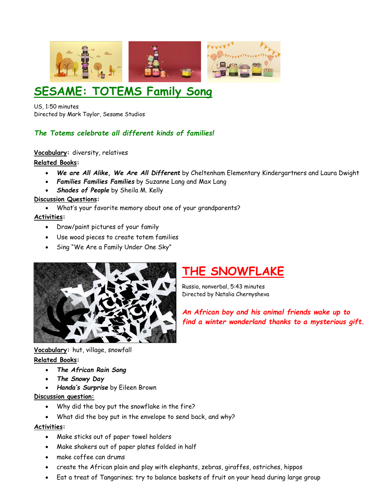

# **SESAME: TOTEMS Family Song**

US, 1:50 minutes Directed by Mark Taylor, Sesame Studios

### *The Totems celebrate all different kinds of families!*

**Vocabulary:** diversity, relatives

### **Related Books:**

- *We are All Alike, We Are All Different* by Cheltenham Elementary Kindergartners and Laura Dwight
- *Families Families Families* by Suzanne Lang and Max Lang
- *Shades of People* by Sheila M. Kelly

### **Discussion Questions:**

• What's your favorite memory about one of your grandparents?

### **Activities:**

- Draw/paint pictures of your family
- Use wood pieces to create totem families
- Sing "We Are a Family Under One Sky"



# **THE SNOWFLAKE**

Russia, nonverbal, 5:43 minutes Directed by Natalia Chernysheva

*An African boy and his animal friends wake up to find a winter wonderland thanks to a mysterious gift.*

### **Vocabulary:** hut, village, snowfall **Related Books:**

- *The African Rain Song*
- *The Snowy Day*
- *Handa's Surprise* by Eileen Brown

### **Discussion question:**

- Why did the boy put the snowflake in the fire?
- What did the boy put in the envelope to send back, and why?

### **Activities:**

- Make sticks out of paper towel holders
- Make shakers out of paper plates folded in half
- make coffee can drums
- create the African plain and play with elephants, zebras, giraffes, ostriches, hippos
- Eat a treat of Tangarines; try to balance baskets of fruit on your head during large group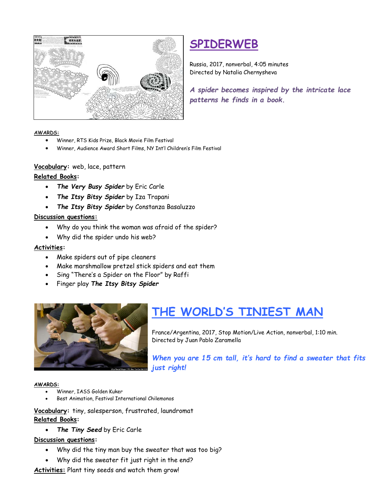

# **SPIDERWEB**

Russia, 2017, nonverbal, 4:05 minutes Directed by Natalia Chernysheva

*A spider becomes inspired by the intricate lace patterns he finds in a book.*

#### **AWARDS:**

- Winner, RTS Kids Prize, Black Movie Film Festival
- Winner, Audience Award Short Films, NY Int'l Children's Film Festival

### **Vocabulary:** web, lace, pattern

### **Related Books:**

- *The Very Busy Spider* by Eric Carle
- *The Itsy Bitsy Spider* by Iza Trapani
- *The Itsy Bitsy Spider* by Constanza Basaluzzo

### **Discussion questions:**

- Why do you think the woman was afraid of the spider?
- Why did the spider undo his web?

#### **Activities:**

- Make spiders out of pipe cleaners
- Make marshmallow pretzel stick spiders and eat them
- Sing "There's a Spider on the Floor" by Raffi
- Finger play *The Itsy Bitsy Spider*



# **THE WORLD'S TINIEST MAN**

France/Argentina, 2017, Stop Motion/Live Action, nonverbal, 1:10 min. Directed by Juan Pablo Zaramella

*When you are 15 cm tall, it's hard to find a sweater that fits just right!*

#### **AWARDS:**

- Winner, IASS Golden Kuker
- Best Animation, Festival International Chilemonos

**Vocabulary:** tiny, salesperson, frustrated, laundromat **Related Books:**

• *The Tiny Seed* by Eric Carle

### **Discussion questions:**

- Why did the tiny man buy the sweater that was too big?
- Why did the sweater fit just right in the end?

**Activities:** Plant tiny seeds and watch them grow!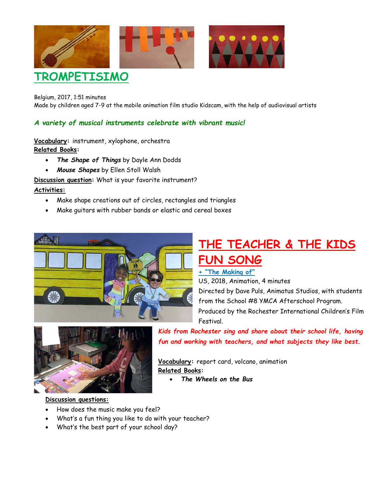

Belgium, 2017, 1:51 minutes Made by children aged 7-9 at the mobile animation film studio Kidscam, with the help of audiovisual artists

### *A variety of musical instruments celebrate with vibrant music!*

**Vocabulary:** instrument, xylophone, orchestra **Related Books:**

- *The Shape of Things* by Dayle Ann Dodds
- *Mouse Shapes* by Ellen Stoll Walsh

**Discussion question:** What is your favorite instrument?

#### **Activities:**

- Make shape creations out of circles, rectangles and triangles
- Make guitars with rubber bands or elastic and cereal boxes



# **THE TEACHER & THE KIDS FUN SONG**

### **+ "The Making of"**

US, 2018, Animation, 4 minutes

Directed by Dave Puls, Animatus Studios, with students from the School #8 YMCA Afterschool Program. Produced by the Rochester International Children's Film Festival.



### *Kids from Rochester sing and share about their school life, having fun and working with teachers, and what subjects they like best.*

**Vocabulary:** report card, volcano, animation **Related Books:**

• *The Wheels on the Bus*

#### **Discussion questions:**

- How does the music make you feel?
- What's a fun thing you like to do with your teacher?
- What's the best part of your school day?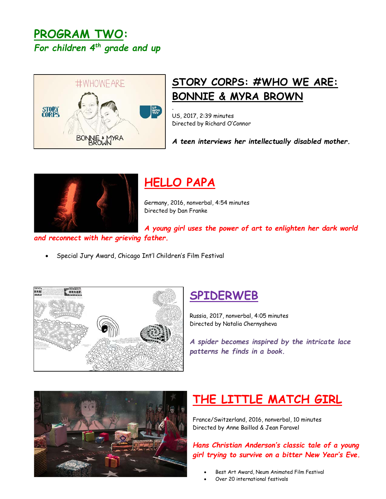## **PROGRAM TWO:**  *For children 4th grade and up*



# **STORY CORPS: #WHO WE ARE: BONNIE & MYRA BROWN**

US, 2017, 2:39 minutes Directed by Richard O'Connor

*A teen interviews her intellectually disabled mother.*



# **HELLO PAPA**

.

Germany, 2016, nonverbal, 4:54 minutes Directed by Dan Franke

*A young girl uses the power of art to enlighten her dark world* 

*and reconnect with her grieving father.*

• Special Jury Award, Chicago Int'l Children's Film Festival



# **SPIDERWEB**

Russia, 2017, nonverbal, 4:05 minutes Directed by Natalia Chernysheva

*A spider becomes inspired by the intricate lace patterns he finds in a book.*



# **THE LITTLE MATCH GIRL**

France/Switzerland, 2016, nonverbal, 10 minutes Directed by Anne Baillod & Jean Faravel

*Hans Christian Anderson's classic tale of a young girl trying to survive on a bitter New Year's Eve.*

- Best Art Award, Neum Animated Film Festival
- Over 20 international festivals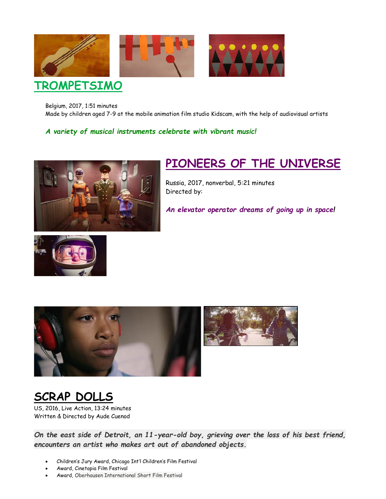

Belgium, 2017, 1:51 minutes Made by children aged 7-9 at the mobile animation film studio Kidscam, with the help of audiovisual artists

*A variety of musical instruments celebrate with vibrant music!*



# **PIONEERS OF THE UNIVERSE**

Russia, 2017, nonverbal, 5:21 minutes Directed by:

*An elevator operator dreams of going up in space!*





# **SCRAP DOLLS**

US, 2016, Live Action, 13:24 minutes Written & Directed by Aude Cuenod

*On the east side of Detroit, an 11-year-old boy, grieving over the loss of his best friend, encounters an artist who makes art out of abandoned objects.*

- Children's Jury Award, Chicago Int'l Children's Film Festival
- Award, Cinetopia Film Festival
- Award, Oberhausen International Short Film Festival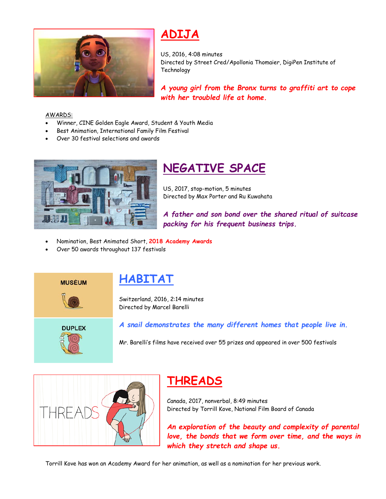

# **ADIJA**

US, 2016, 4:08 minutes Directed by Street Cred/Apollonia Thomaier, DigiPen Institute of **Technology** 

*A young girl from the Bronx turns to graffiti art to cope with her troubled life at home.* 

#### AWARDS:

- Winner, CINE Golden Eagle Award, Student & Youth Media
- Best Animation, International Family Film Festival
- Over 30 festival selections and awards



# **NEGATIVE SPACE**

US, 2017, stop-motion, 5 minutes Directed by Max Porter and Ru Kuwahata

*A father and son bond over the shared ritual of suitcase packing for his frequent business trips.* 

- Nomination, Best Animated Short, **2018 Academy Awards**
- Over 50 awards throughout 137 festivals



### **HABITAT**

Switzerland, 2016, 2:14 minutes Directed by Marcel Barelli



*A snail demonstrates the many different homes that people live in.*

Mr. Barelli's films have received over 55 prizes and appeared in over 500 festivals



## **THREADS**

Canada, 2017, nonverbal, 8:49 minutes Directed by Torrill Kove, National Film Board of Canada

*An exploration of the beauty and complexity of parental love, the bonds that we form over time, and the ways in which they stretch and shape us.*

Torrill Kove has won an Academy Award for her animation, as well as a nomination for her previous work.